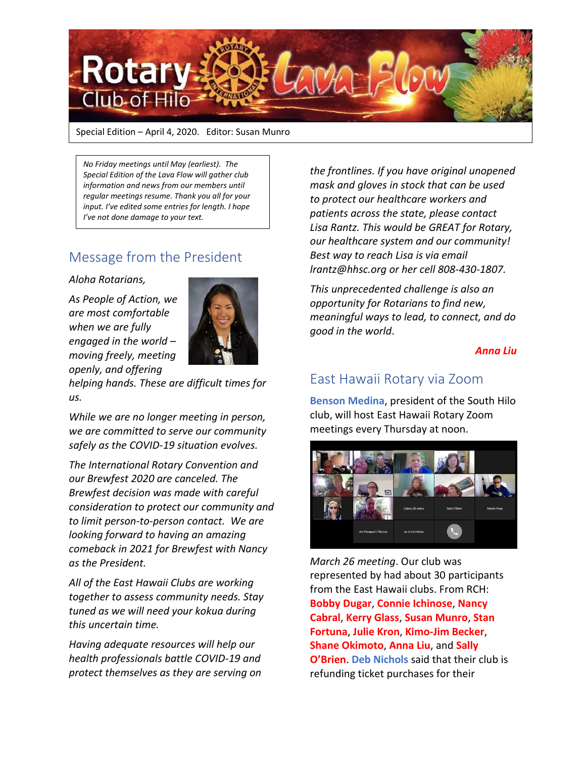

Special Edition – April 4, 2020. Editor: Susan Munro

*No Friday meetings until May (earliest). The Special Edition of the Lava Flow will gather club information and news from our members until regular meetings resume. Thank you all for your input. I've edited some entries for length. I hope I've not done damage to your text.* 

## Message from the President

*Aloha Rotarians,*

*As People of Action, we are most comfortable when we are fully engaged in the world – moving freely, meeting openly, and offering* 



*helping hands. These are difficult times for us.*

*While we are no longer meeting in person, we are committed to serve our community safely as the COVID-19 situation evolves.*

*The International Rotary Convention and our Brewfest 2020 are canceled. The Brewfest decision was made with careful consideration to protect our community and to limit person-to-person contact. We are looking forward to having an amazing comeback in 2021 for Brewfest with Nancy as the President.* 

*All of the East Hawaii Clubs are working together to assess community needs. Stay tuned as we will need your kokua during this uncertain time.* 

*Having adequate resources will help our health professionals battle COVID-19 and protect themselves as they are serving on* 

*the frontlines. If you have original unopened mask and gloves in stock that can be used to protect our healthcare workers and patients across the state, please contact Lisa Rantz. This would be GREAT for Rotary, our healthcare system and our community! Best way to reach Lisa is via email [lrantz@hhsc.org](mailto:lrantz@hhsc.org) or her cell 808-430-1807.* 

*This unprecedented challenge is also an opportunity for Rotarians to find new, meaningful ways to lead, to connect, and do good in the world*.

*Anna Liu*

## East Hawaii Rotary via Zoom

**Benson Medina**, president of the South Hilo club, will host East Hawaii Rotary Zoom meetings every Thursday at noon.



*March 26 meeting*. Our club was represented by had about 30 participants from the East Hawaii clubs. From RCH: **Bobby Dugar**, **Connie Ichinose**, **Nancy Cabral**, **Kerry Glass**, **Susan Munro**, **Stan Fortuna**, **Julie Kron**, **Kimo-Jim Becker**, **Shane Okimoto**, **Anna Liu**, and **Sally O'Brien**. **Deb Nichols** said that their club is refunding ticket purchases for their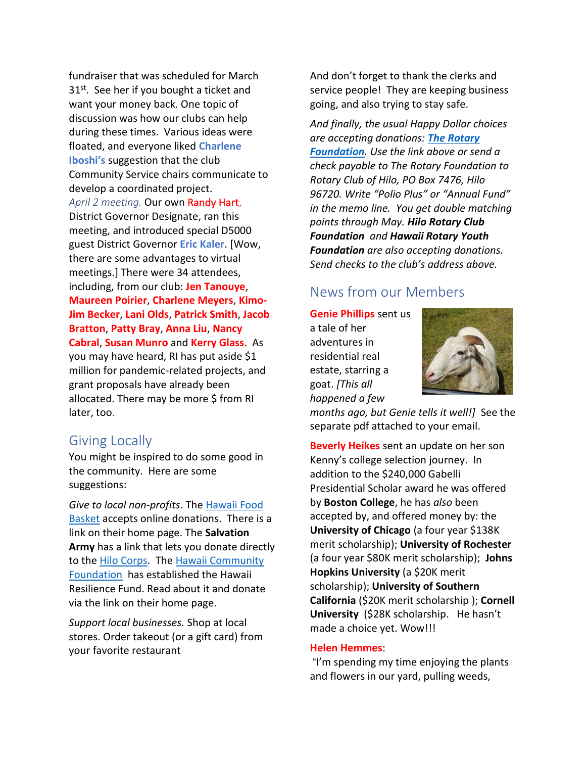fundraiser that was scheduled for March 31<sup>st</sup>. See her if you bought a ticket and want your money back. One topic of discussion was how our clubs can help during these times. Various ideas were floated, and everyone liked **Charlene Iboshi's** suggestion that the club Community Service chairs communicate to develop a coordinated project. *April 2 meeting.* Our own Randy Hart, District Governor Designate, ran this meeting, and introduced special D5000 guest District Governor **Eric Kaler**. [Wow, there are some advantages to virtual meetings.] There were 34 attendees, including, from our club: **Jen Tanouye**, **Maureen Poirier**, **Charlene Meyers**, **Kimo-Jim Becker**, **Lani Olds**, **Patrick Smith**, **Jacob Bratton**, **Patty Bray**, **Anna Liu**, **Nancy Cabral**, **Susan Munro** and **Kerry Glass**. As you may have heard, RI has put aside \$1 million for pandemic-related projects, and grant proposals have already been allocated. There may be more \$ from RI later, too.

### Giving Locally

You might be inspired to do some good in the community. Here are some suggestions:

*Give to local non-profits*. The [Hawaii Food](https://www.hawaiifoodbasket.org/)  [Basket](https://www.hawaiifoodbasket.org/) accepts online donations. There is a link on their home page. The **Salvation Army** has a link that lets you donate directly to the [Hilo Corps.](https://hawaii.salvationarmy.org/hawaii/hilo) The [Hawaii Community](https://www.hawaiicommunityfoundation.org/)  [Foundation](https://www.hawaiicommunityfoundation.org/) has established the Hawaii Resilience Fund. Read about it and donate via the link on their home page.

*Support local businesses.* Shop at local stores. Order takeout (or a gift card) from your favorite restaurant

And don't forget to thank the clerks and service people! They are keeping business going, and also trying to stay safe.

*And finally, the usual Happy Dollar choices are accepting donations: [The Rotary](https://www.rotary.org/en/donate)  [Foundation](https://www.rotary.org/en/donate). Use the link above or send a check payable to The Rotary Foundation to Rotary Club of Hilo, PO Box 7476, Hilo 96720. Write "Polio Plus" or "Annual Fund" in the memo line. You get double matching points through May. Hilo Rotary Club Foundation and Hawaii Rotary Youth Foundation are also accepting donations. Send checks to the club's address above.*

## News from our Members

**Genie Phillips** sent us

a tale of her adventures in residential real estate, starring a goat. *[This all happened a few* 



*months ago, but Genie tells it well!]* See the separate pdf attached to your email.

**Beverly Heikes** sent an update on her son Kenny's college selection journey. In addition to the \$240,000 Gabelli Presidential Scholar award he was offered by **Boston College**, he has *also* been accepted by, and offered money by: the **University of Chicago** (a four year \$138K merit scholarship); **University of Rochester** (a four year \$80K merit scholarship); **Johns Hopkins University** (a \$20K merit scholarship); **University of Southern California** (\$20K merit scholarship ); **Cornell University** (\$28K scholarship. He hasn't made a choice yet. Wow!!!

#### **Helen Hemmes**:

"I'm spending my time enjoying the plants and flowers in our yard, pulling weeds,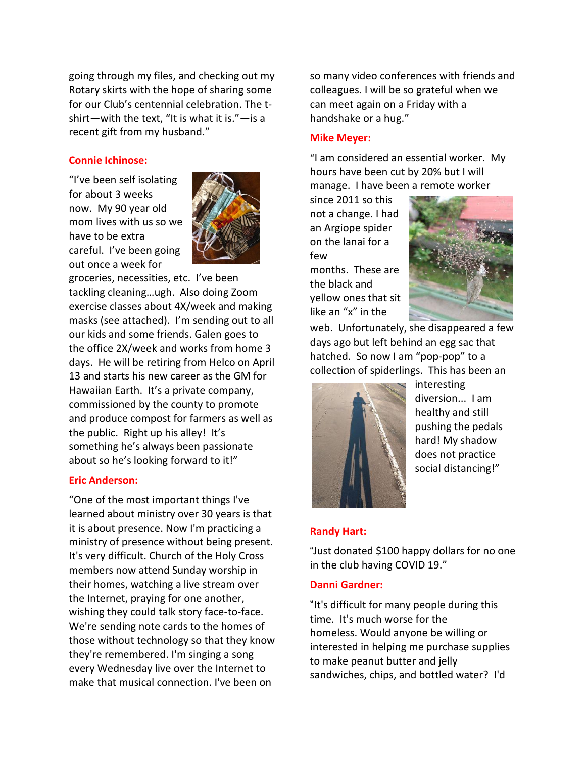going through my files, and checking out my Rotary skirts with the hope of sharing some for our Club's centennial celebration. The tshirt—with the text, "It is what it is."—is a recent gift from my husband."

#### **Connie Ichinose:**

"I've been self isolating for about 3 weeks now. My 90 year old mom lives with us so we have to be extra careful. I've been going out once a week for



groceries, necessities, etc. I've been tackling cleaning…ugh. Also doing Zoom exercise classes about 4X/week and making masks (see attached). I'm sending out to all our kids and some friends. Galen goes to the office 2X/week and works from home 3 days. He will be retiring from Helco on April 13 and starts his new career as the GM for Hawaiian Earth. It's a private company, commissioned by the county to promote and produce compost for farmers as well as the public. Right up his alley! It's something he's always been passionate about so he's looking forward to it!"

#### **Eric Anderson:**

"One of the most important things I've learned about ministry over 30 years is that it is about presence. Now I'm practicing a ministry of presence without being present. It's very difficult. Church of the Holy Cross members now attend Sunday worship in their homes, watching a live stream over the Internet, praying for one another, wishing they could talk story face-to-face. We're sending note cards to the homes of those without technology so that they know they're remembered. I'm singing a song every Wednesday live over the Internet to make that musical connection. I've been on

so many video conferences with friends and colleagues. I will be so grateful when we can meet again on a Friday with a handshake or a hug."

#### **Mike Meyer:**

"I am considered an essential worker. My hours have been cut by 20% but I will manage. I have been a remote worker

since 2011 so this not a change. I had an Argiope spider on the lanai for a few

months. These are the black and yellow ones that sit like an "x" in the



web. Unfortunately, she disappeared a few days ago but left behind an egg sac that hatched. So now I am "pop-pop" to a collection of spiderlings. This has been an



interesting diversion... I am healthy and still pushing the pedals hard! My shadow does not practice social distancing!"

#### **Randy Hart:**

"Just donated \$100 happy dollars for no one in the club having COVID 19."

#### **Danni Gardner:**

"It's difficult for many people during this time. It's much worse for the homeless. Would anyone be willing or interested in helping me purchase supplies to make peanut butter and jelly sandwiches, chips, and bottled water? I'd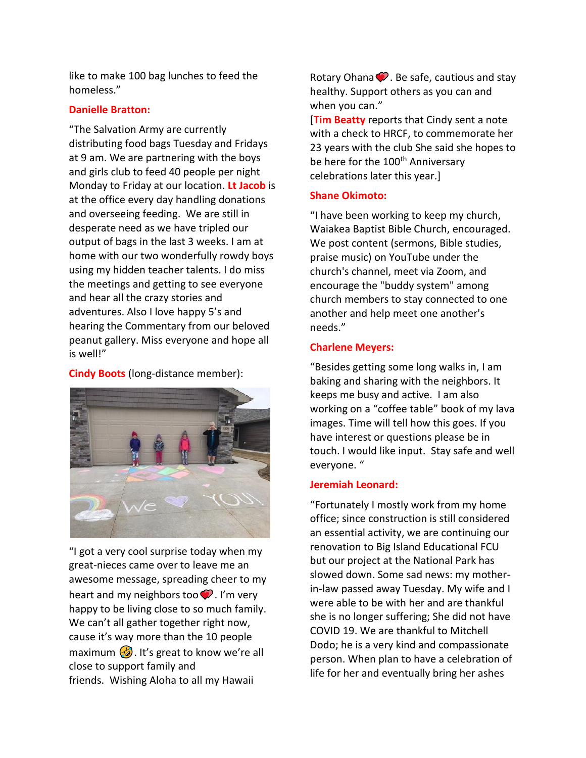like to make 100 bag lunches to feed the homeless."

#### **Danielle Bratton:**

"The Salvation Army are currently distributing food bags Tuesday and Fridays at 9 am. We are partnering with the boys and girls club to feed 40 people per night Monday to Friday at our location. **Lt Jacob** is at the office every day handling donations and overseeing feeding. We are still in desperate need as we have tripled our output of bags in the last 3 weeks. I am at home with our two wonderfully rowdy boys using my hidden teacher talents. I do miss the meetings and getting to see everyone and hear all the crazy stories and adventures. Also I love happy 5's and hearing the Commentary from our beloved peanut gallery. Miss everyone and hope all is well!"

**Cindy Boots** (long-distance member):



"I got a very cool surprise today when my great-nieces came over to leave me an awesome message, spreading cheer to my heart and my neighbors too  $\bullet$ . I'm very happy to be living close to so much family. We can't all gather together right now, cause it's way more than the 10 people maximum  $\sqrt{2}$ . It's great to know we're all close to support family and friends. Wishing Aloha to all my Hawaii

Rotary Ohana  $\bullet$ . Be safe, cautious and stay healthy. Support others as you can and when you can."

[**Tim Beatty** reports that Cindy sent a note with a check to HRCF, to commemorate her 23 years with the club She said she hopes to be here for the 100<sup>th</sup> Anniversary celebrations later this year.]

#### **Shane Okimoto:**

"I have been working to keep my church, Waiakea Baptist Bible Church, encouraged. We post content (sermons, Bible studies, praise music) on YouTube under the church's channel, meet via Zoom, and encourage the "buddy system" among church members to stay connected to one another and help meet one another's needs."

#### **Charlene Meyers:**

"Besides getting some long walks in, I am baking and sharing with the neighbors. It keeps me busy and active. I am also working on a "coffee table" book of my lava images. Time will tell how this goes. If you have interest or questions please be in touch. I would like input. Stay safe and well everyone. "

#### **Jeremiah Leonard:**

"Fortunately I mostly work from my home office; since construction is still considered an essential activity, we are continuing our renovation to Big Island Educational FCU but our project at the National Park has slowed down. Some sad news: my motherin-law passed away Tuesday. My wife and I were able to be with her and are thankful she is no longer suffering; She did not have COVID 19. We are thankful to Mitchell Dodo; he is a very kind and compassionate person. When plan to have a celebration of life for her and eventually bring her ashes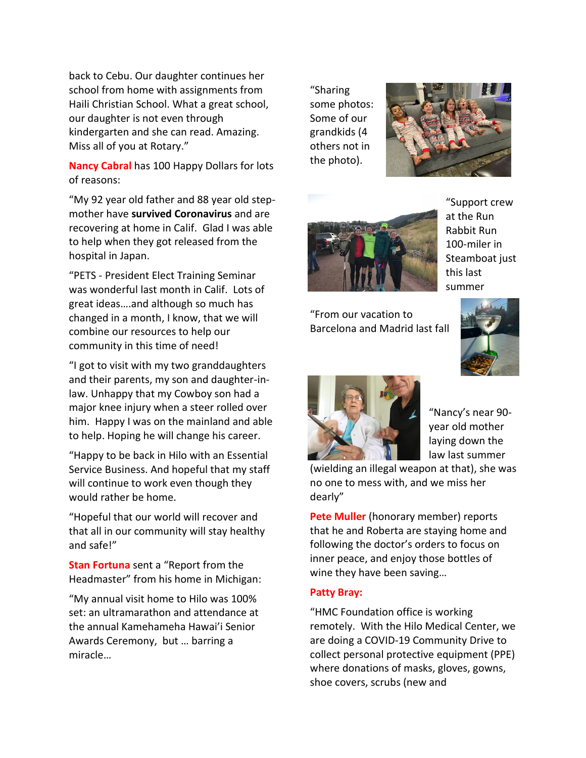back to Cebu. Our daughter continues her school from home with assignments from Haili Christian School. What a great school, our daughter is not even through kindergarten and she can read. Amazing. Miss all of you at Rotary."

**Nancy Cabral** has 100 Happy Dollars for lots of reasons:

"My 92 year old father and 88 year old stepmother have **survived Coronavirus** and are recovering at home in Calif. Glad I was able to help when they got released from the hospital in Japan.

"PETS - President Elect Training Seminar was wonderful last month in Calif. Lots of great ideas….and although so much has changed in a month, I know, that we will combine our resources to help our community in this time of need!

"I got to visit with my two granddaughters and their parents, my son and daughter-inlaw. Unhappy that my Cowboy son had a major knee injury when a steer rolled over him. Happy I was on the mainland and able to help. Hoping he will change his career.

"Happy to be back in Hilo with an Essential Service Business. And hopeful that my staff will continue to work even though they would rather be home.

"Hopeful that our world will recover and that all in our community will stay healthy and safe!"

**Stan Fortuna** sent a "Report from the Headmaster" from his home in Michigan:

"My annual visit home to Hilo was 100% set: an ultramarathon and attendance at the annual Kamehameha Hawai'i Senior Awards Ceremony, but … barring a miracle…

"Sharing some photos: Some of our grandkids (4 others not in the photo).





"Support crew at the Run Rabbit Run 100-miler in Steamboat just this last summer

"From our vacation to Barcelona and Madrid last fall





"Nancy's near 90 year old mother laying down the law last summer

(wielding an illegal weapon at that), she was no one to mess with, and we miss her dearly"

**Pete Muller** (honorary member) reports that he and Roberta are staying home and following the doctor's orders to focus on inner peace, and enjoy those bottles of wine they have been saving…

#### **Patty Bray:**

"HMC Foundation office is working remotely. With the Hilo Medical Center, we are doing a COVID-19 Community Drive to collect personal protective equipment (PPE) where donations of masks, gloves, gowns, shoe covers, scrubs (new and